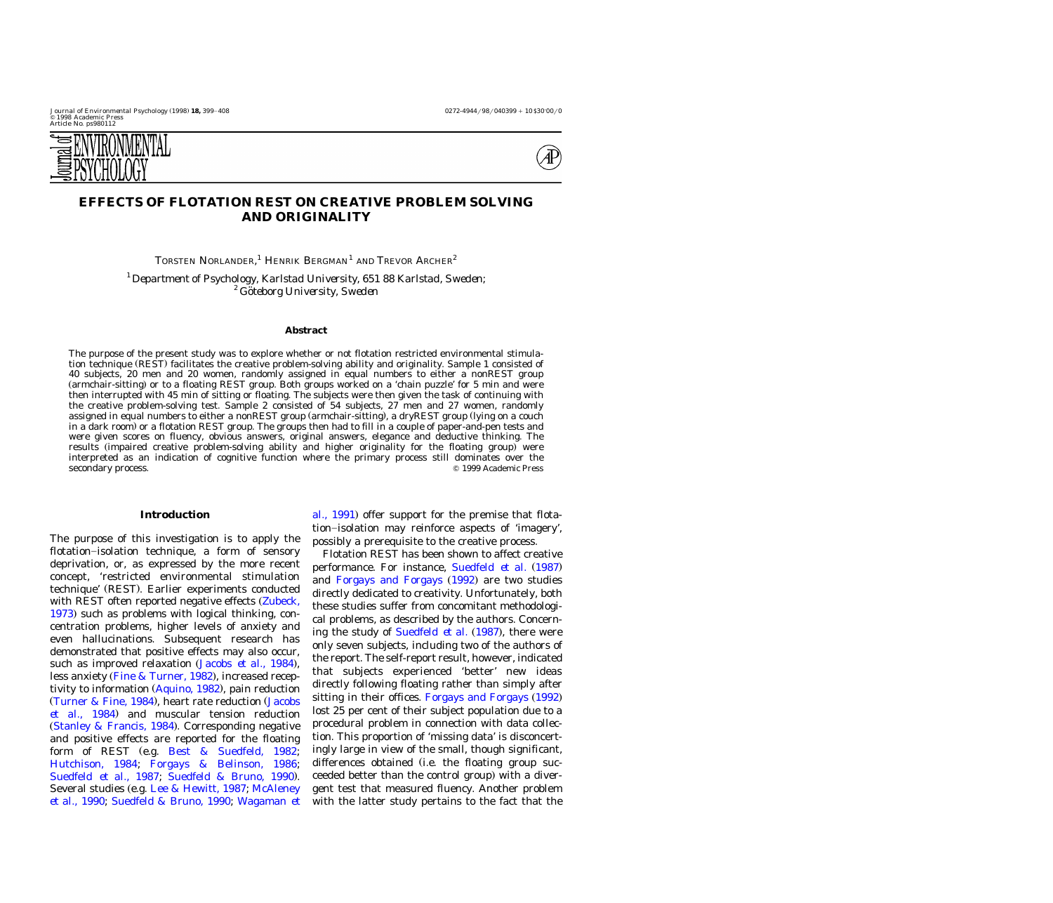



# **EFFECTS OF FLOTATION REST ON CREATIVE PROBLEM SOLVING AND ORIGINALITY**

TORSTEN NORLANDER,<sup>1</sup> HENRIK BERGMAN<sup>1</sup> AND TREVOR ARCHER<sup>2</sup>

*1Department of Psychology, Karlstad University, 651 88 Karlstad, Sweden;* <sup>2</sup> Göteborg University, Sweden

#### **Abstract**

The purpose of the present study was to explore whether or not flotation restricted environmental stimulation technique (REST) facilitates the creative problem-solving ability and originality. Sample 1 consisted of 40 subjects, 20 men and 20 women, randomly assigned in equal numbers to either a nonREST group (armchair-sitting) or to a floating REST group. Both groups worked on a 'chain puzzle' for 5 min and were then interrupted with 45 min of sitting or floating. The subjects were then given the task of continuing with the creative problem-solving test. Sample 2 consisted of 54 subjects, 27 men and 27 women, randomly assigned in equal numbers to either a nonREST group (armchair-sitting), a dryREST group (lying on a couch in a dark room) or a flotation REST group. The groups then had to fill in a couple of paper-and-pen tests and were given scores on fluency, obvious answers, original answers, elegance and deductive thinking. The results (impaired creative problem-solving ability and higher originality for the floating group) were interpreted as an indication of cognitive function where the primary process still dominates over the secondary process. Q 1999 Academic Press

#### **Introduction**

The purpose of this investigation is to apply the flotation-isolation technique, a form of sensory deprivation, or, as expressed by the more recent concept, 'restricted environmental stimulation technique' (REST). Earlier experiments conducted with REST often reported negative effects ([Zubeck,](#page-9-0) [1973](#page-9-0)) such as problems with logical thinking, concentration problems, higher levels of anxiety and even hallucinations. Subsequent research has demonstrated that positive effects may also occur, such as improved relaxation (*Jacobs et al.*, 1984), less anxiety (Fine & Turner, 1982), increased receptivity to information  $(Aquino, 1982)$ , pain reduction  $(Turner \& Fine, 1984)$  $(Turner \& Fine, 1984)$  $(Turner \& Fine, 1984)$ , heart rate reduction  $(Jacobs)$  $(Jacobs)$  $(Jacobs)$ *et al.*, [1984](#page-8-0)) and muscular tension reduction (Stanley & Francis, 1984). Corresponding negative and positive effects are reported for the floating form of REST (e.g. Best  $\&$  [Suedfeld,](#page-8-0) 1982; [Hutchison,](#page-8-0) 1984; Forgays & [Belinson,](#page-8-0) 1986; [Suedfeld](#page-9-0) *et al*., 1987; [Suedfeld](#page-9-0) & Bruno, 1990.. Several studies (e.g. Lee & [Hewitt,](#page-8-0) 1987; [McAleney](#page-8-0) *et al*., [1990;](#page-8-0) [Suedfeld](#page-9-0) & Bruno, 1990; [Wagaman](#page-9-0) *et* *al.*, [1991](#page-9-0)) offer support for the premise that flotation-isolation may reinforce aspects of 'imagery', possibly a prerequisite to the creative process.

Flotation REST has been shown to affect creative performance. For instance, [Suedfeld](#page-9-0) *et al.* (1987) and [Forgays](#page-8-0) and Forgays (1992) are two studies directly dedicated to creativity. Unfortunately, both these studies suffer from concomitant methodological problems, as described by the authors. Concern-ing the study of [Suedfeld](#page-9-0) *et al.* (1987), there were only seven subjects, including two of the authors of the report. The self-report result, however, indicated that subjects experienced 'better' new ideas directly following floating rather than simply after sitting in their offices. [Forgays](#page-8-0) and Forgays  $(1992)$ lost 25 per cent of their subject population due to a procedural problem in connection with data collection. This proportion of 'missing data' is disconcertingly large in view of the small, though significant, differences obtained (i.e. the floating group succeeded better than the control group) with a divergent test that measured fluency. Another problem with the latter study pertains to the fact that the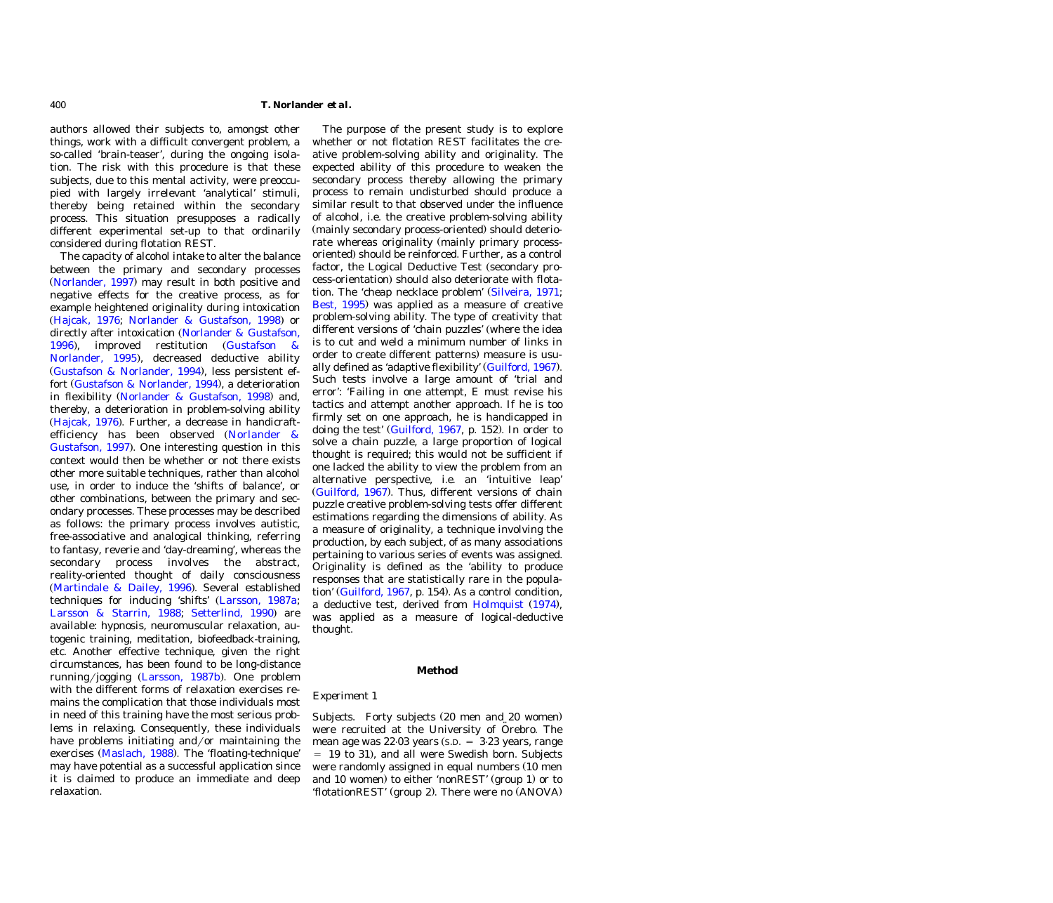authors allowed their subjects to, amongst other things, work with a difficult convergent problem, a so-called 'brain-teaser', during the ongoing isolation. The risk with this procedure is that these subjects, due to this mental activity, were preoccupied with largely irrelevant 'analytical' stimuli, thereby being retained within the secondary process. This situation presupposes a radically different experimental set-up to that ordinarily considered during flotation REST.

The capacity of alcohol intake to alter the balance between the primary and secondary processes (Norlander, 1997) may result in both positive and negative effects for the creative process, as for example heightened originality during intoxication (Hajcak, 1976; Norlander & Gustafson, 1998) or directly after intoxication (Norlander & [Gustafson,](#page-8-0) [1996](#page-8-0)), improved restitution ([Gustafson](#page-8-0) [Norlander,](#page-8-0) 1995), decreased deductive ability (Gustafson & Norlander, 1994), less persistent effort (Gustafson & Norlander, 1994), a deterioration in flexibility (Norlander & Gustafson, 1998) and, thereby, a deterioration in problem-solving ability (Hajcak, 1976). Further, a decrease in handicraft-efficiency has been observed ([Norlander](#page-8-0)  $\&$ [Gustafson,](#page-8-0) 1997). One interesting question in this context would then be whether or not there exists other more suitable techniques, rather than alcohol use, in order to induce the 'shifts of balance', or other combinations, between the primary and secondary processes. These processes may be described as follows: the primary process involves autistic, free-associative and analogical thinking, referring to fantasy, reverie and 'day-dreaming', whereas the secondary process involves the abstract, reality-oriented thought of daily consciousness (Martindale & Dailey, 1996). Several established techniques for inducing 'shifts' ([Larsson,](#page-8-0) 1987*a*; [Larsson](#page-8-0) & Starrin, 1988; [Setterlind,](#page-9-0) 1990) are available: hypnosis, neuromuscular relaxation, autogenic training, meditation, biofeedback-training, etc. Another effective technique, given the right circumstances, has been found to be long-distance running/jogging (Larsson, 1987*b*). One problem with the different forms of relaxation exercises remains the complication that those individuals most in need of this training have the most serious problems in relaxing. Consequently, these individuals have problems initiating and/or maintaining the exercises (Maslach, 1988). The 'floating-technique' may have potential as a successful application since it is claimed to produce an immediate and deep relaxation.

The purpose of the present study is to explore whether or not flotation REST facilitates the creative problem-solving ability and originality. The expected ability of this procedure to weaken the secondary process thereby allowing the primary process to remain undisturbed should produce a similar result to that observed under the influence of alcohol, i.e. the creative problem-solving ability (mainly secondary process-oriented) should deteriorate whereas originality (mainly primary processoriented) should be reinforced. Further, as a control factor, the Logical Deductive Test (secondary process-orientation) should also deteriorate with flota-tion. The 'cheap necklace problem' ([Silveira,](#page-9-0) 1971; [Best,](#page-8-0) 1995) was applied as a measure of creative problem-solving ability. The type of creativity that different versions of 'chain puzzles' (where the idea is to cut and weld a minimum number of links in order to create different patterns) measure is usually defined as 'adaptive flexibility' (Guilford, 1967). Such tests involve a large amount of 'trial and error': 'Failing in one attempt, E must revise his tactics and attempt another approach. If he is too firmly set on one approach, he is handicapped in doing the test'  $(Guilford, 1967, p. 152)$ . In order to solve a chain puzzle, a large proportion of logical thought is required; this would not be sufficient if one lacked the ability to view the problem from an alternative perspective, i.e. an 'intuitive leap'  $(Guilford, 1967)$ . Thus, different versions of chain puzzle creative problem-solving tests offer different estimations regarding the dimensions of ability. As a measure of originality, a technique involving the production, by each subject, of as many associations pertaining to various series of events was assigned. Originality is defined as the 'ability to produce responses that are statistically rare in the population' (Guilford, 1967, p. 154). As a control condition, a deductive test, derived from [Holmquist](#page-8-0) (1974), was applied as a measure of logical-deductive thought.

# **Method**

# *Experiment 1*

*Subjects.* Forty subjects (20 men and 20 women) were recruited at the University of Orebro. The mean age was 22 $\cdot$ 03 years (s.p. = 3 $\cdot$ 23 years, range  $= 19$  to 31), and all were Swedish born. Subjects were randomly assigned in equal numbers (10 men and 10 women) to either 'non $REST$ ' (group 1) or to 'flotationREST' (group 2). There were no (ANOVA)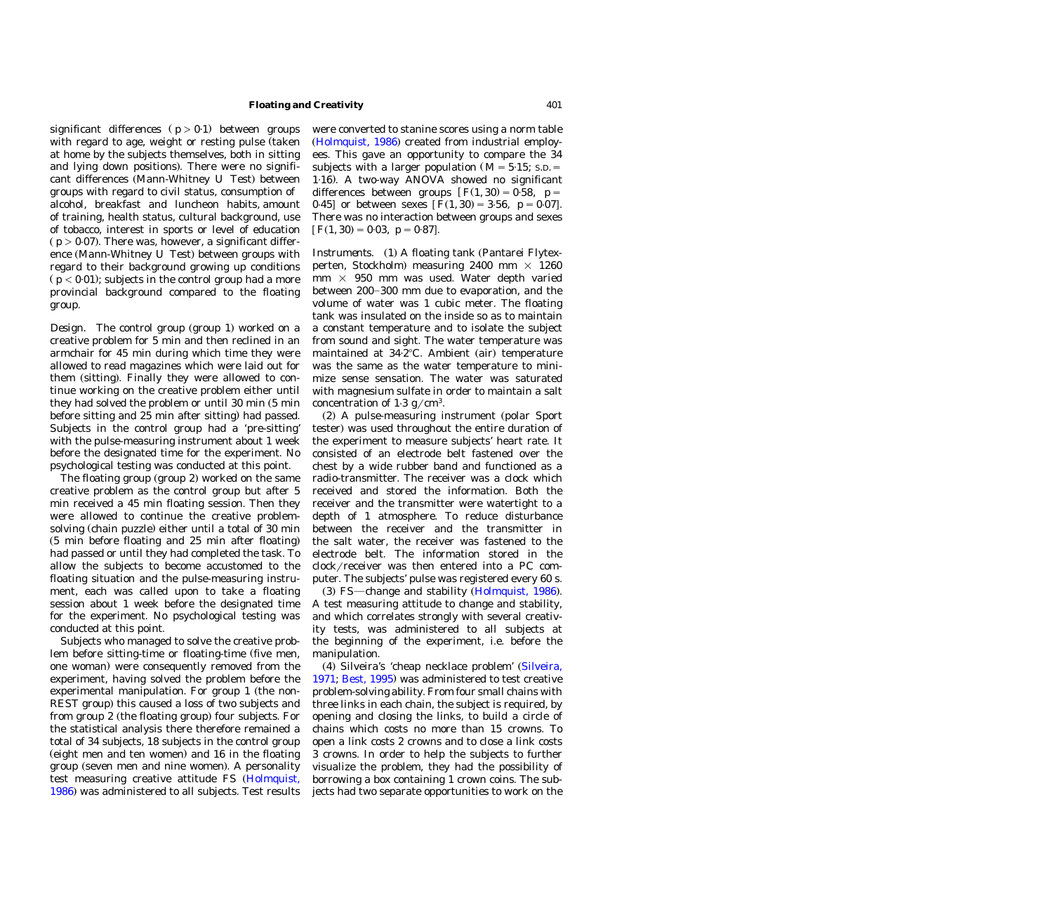significant differences  $(p>0.1)$  between groups with regard to age, weight or resting pulse (taken at home by the subjects themselves, both in sitting and lying down positions). There were no significant differences (Mann-Whitney *U* Test) between groups with regard to civil status, consumption of alcohol, breakfast and luncheon habits, amount of training, health status, cultural background, use of tobacco, interest in sports or level of education  $(p > 0.07)$ . There was, however, a significant difference (Mann-Whitney *U* Test) between groups with regard to their background growing up conditions  $\frac{p}{p}$  < 0.01); subjects in the control group had a more provincial background compared to the floating group.

*Design.* The control group (group 1) worked on a creative problem for 5 min and then reclined in an armchair for 45 min during which time they were allowed to read magazines which were laid out for them (sitting). Finally they were allowed to continue working on the creative problem either until they had solved the problem or until 30 min  $(5 \text{ min})$ before sitting and 25 min after sitting) had passed. Subjects in the control group had a 'pre-sitting' with the pulse-measuring instrument about 1 week before the designated time for the experiment. No psychological testing was conducted at this point.

The floating group (group 2) worked on the same creative problem as the control group but after 5 min received a 45 min floating session. Then they were allowed to continue the creative problemsolving (chain puzzle) either until a total of 30 min  $(5 \text{ min}$  before floating and 25 min after floating) had passed or until they had completed the task. To allow the subjects to become accustomed to the floating situation and the pulse-measuring instrument, each was called upon to take a floating session about 1 week before the designated time for the experiment. No psychological testing was conducted at this point.

Subjects who managed to solve the creative problem before sitting-time or floating-time (five men, one woman) were consequently removed from the experiment, having solved the problem before the experimental manipulation. For group  $1$  (the non-REST group) this caused a loss of two subjects and from group 2 (the floating group) four subjects. For the statistical analysis there therefore remained a total of 34 subjects, 18 subjects in the control group  $(eight$  men and ten women) and 16 in the floating group (seven men and nine women). A personality test measuring creative attitude FS ([Holmquist,](#page-8-0) [1986](#page-8-0)) was administered to all subjects. Test results

were converted to stanine scores using a norm table (Holmquist, 1986) created from industrial employees. This gave an opportunity to compare the 34 subjects with a larger population  $(M = 5.15; S.D. =$ 1.16). A two-way ANOVA showed no significant differences between groups  $F(1, 30) = 0.58$ ,  $p = 0.45$  or between sexes  $F(1, 30) = 3.56$ ,  $p = 0.07$ . There was no interaction between groups and sexes  $[ F(1, 30) = 0.03, p = 0.87].$ 

*Instruments.* (1) A floating tank (Pantarei Flytexperten, Stockholm) measuring 2400 mm  $\times$  1260  $mm \times$  950 mm was used. Water depth varied between 200-300 mm due to evaporation, and the volume of water was 1 cubic meter. The floating tank was insulated on the inside so as to maintain a constant temperature and to isolate the subject from sound and sight. The water temperature was maintained at 34.2°C. Ambient (air) temperature was the same as the water temperature to minimize sense sensation. The water was saturated with magnesium sulfate in order to maintain a salt concentration of  $1.3 \text{ g/cm}^3$ .

(2) A pulse-measuring instrument (polar Sport tester) was used throughout the entire duration of the experiment to measure subjects' heart rate. It consisted of an electrode belt fastened over the chest by a wide rubber band and functioned as a radio-transmitter. The receiver was a clock which received and stored the information. Both the receiver and the transmitter were watertight to a depth of 1 atmosphere. To reduce disturbance between the receiver and the transmitter in the salt water, the receiver was fastened to the electrode belt. The information stored in the  $clock/receiver$  was then entered into a PC computer. The subjects' pulse was registered every 60 s.

 $(3)$  FS—change and stability ([Holmquist,](#page-8-0) 1986). A test measuring attitude to change and stability, and which correlates strongly with several creativity tests, was administered to all subjects at the beginning of the experiment, i.e. before the manipulation.

 $(4)$  Silveira's 'cheap necklace problem' ([Silveira,](#page-9-0) [1971;](#page-9-0) [Best,](#page-8-0) 1995) was administered to test creative problem-solving ability. From four small chains with three links in each chain, the subject is required, by opening and closing the links, to build a circle of chains which costs no more than 15 crowns. To open a link costs 2 crowns and to close a link costs 3 crowns. In order to help the subjects to further visualize the problem, they had the possibility of borrowing a box containing 1 crown coins. The subjects had two separate opportunities to work on the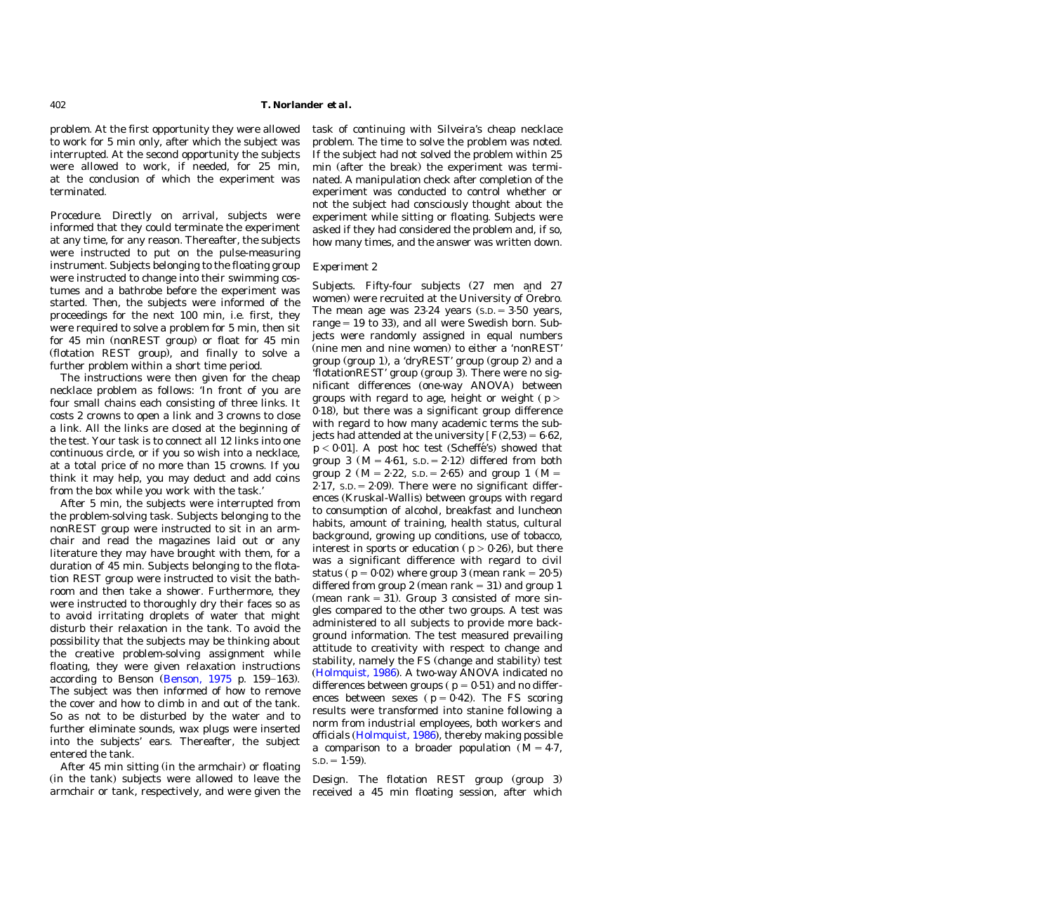problem. At the first opportunity they were allowed to work for 5 min only, after which the subject was interrupted. At the second opportunity the subjects were allowed to work, if needed, for 25 min, at the conclusion of which the experiment was terminated.

*Procedure.* Directly on arrival, subjects were informed that they could terminate the experiment at any time, for any reason. Thereafter, the subjects were instructed to put on the pulse-measuring instrument. Subjects belonging to the floating group were instructed to change into their swimming costumes and a bathrobe before the experiment was started. Then, the subjects were informed of the proceedings for the next 100 min, i.e. first, they were required to solve a problem for 5 min, then sit for 45 min (nonREST group) or float for 45 min (flotation REST group), and finally to solve a further problem within a short time period.

The instructions were then given for the cheap necklace problem as follows: 'In front of you are four small chains each consisting of three links. It costs 2 crowns to open a link and 3 crowns to close a link. All the links are closed at the beginning of the test. Your task is to connect all 12 links into one continuous circle, or if you so wish into a necklace, at a total price of no more than 15 crowns. If you think it may help, you may deduct and add coins from the box while you work with the task.'

After 5 min, the subjects were interrupted from the problem-solving task. Subjects belonging to the nonREST group were instructed to sit in an armchair and read the magazines laid out or any literature they may have brought with them, for a duration of 45 min. Subjects belonging to the flotation REST group were instructed to visit the bathroom and then take a shower. Furthermore, they were instructed to thoroughly dry their faces so as to avoid irritating droplets of water that might disturb their relaxation in the tank. To avoid the possibility that the subjects may be thinking about the creative problem-solving assignment while floating, they were given relaxation instructions according to Benson  $(Benson, 1975, p. 159-163)$ . The subject was then informed of how to remove the cover and how to climb in and out of the tank. So as not to be disturbed by the water and to further eliminate sounds, wax plugs were inserted into the subjects' ears. Thereafter, the subject entered the tank.

After 45 min sitting (in the armchair) or floating (in the tank) subjects were allowed to leave the armchair or tank, respectively, and were given the task of continuing with Silveira's cheap necklace problem. The time to solve the problem was noted. If the subject had not solved the problem within 25 min (after the break) the experiment was terminated. A manipulation check after completion of the experiment was conducted to control whether or not the subject had consciously thought about the experiment while sitting or floating. Subjects were asked if they had considered the problem and, if so, how many times, and the answer was written down.

# *Experiment 2*

*Subjects.* Fifty-four subjects (27 men and 27 women) were recruited at the University of Örebro. The mean age was  $23.24$  years  $(S.D. = 3.50$  years, range  $=19$  to 33), and all were Swedish born. Subjects were randomly assigned in equal numbers (nine men and nine women) to either a 'nonREST' group (group 1), a 'dryREST' group (group 2) and a 'flotationREST' group (group 3). There were no significant differences (one-way ANOVA) between groups with regard to age, height or weight  $(p >$ 0. 18., but there was a significant group difference with regard to how many academic terms the sub jects had attended at the university  $F(2,53) = 6.62$ ,  $p < 0.01$ . A *post hoc* test (Scheffe's) showed that group 3  $(M = 4.61, S.D. = 2.12)$  differed from both group 2 ( $M = 2.22$ , s.p. = 2.65) and group 1 ( $M =$  $2.17$ , s.d. =  $2.09$ ). There were no significant differences (Kruskal-Wallis) between groups with regard to consumption of alcohol, breakfast and luncheon habits, amount of training, health status, cultural background, growing up conditions, use of tobacco, interest in sports or education  $(p > 0.26)$ , but there was a significant difference with regard to civil status ( $p = 0.02$ ) where group 3 (mean rank  $= 20.5$ ) differed from group 2 (mean rank  $=31$ ) and group 1  $(mean rank = 31)$ . Group 3 consisted of more singles compared to the other two groups. A test was administered to all subjects to provide more background information. The test measured prevailing attitude to creativity with respect to change and stability, namely the FS (change and stability) test (Holmquist, 1986). A two-way ANOVA indicated no differences between groups  $p = 0.51$  and no differences between sexes  $(p = 0.42)$ . The FS scoring results were transformed into stanine following a norm from industrial employees, both workers and officials (Holmquist, 1986), thereby making possible a comparison to a broader population  $(M = 4.7)$ ,  $s.p. = 1.59.$ 

*Design.* The flotation REST group (group 3) received a 45 min floating session, after which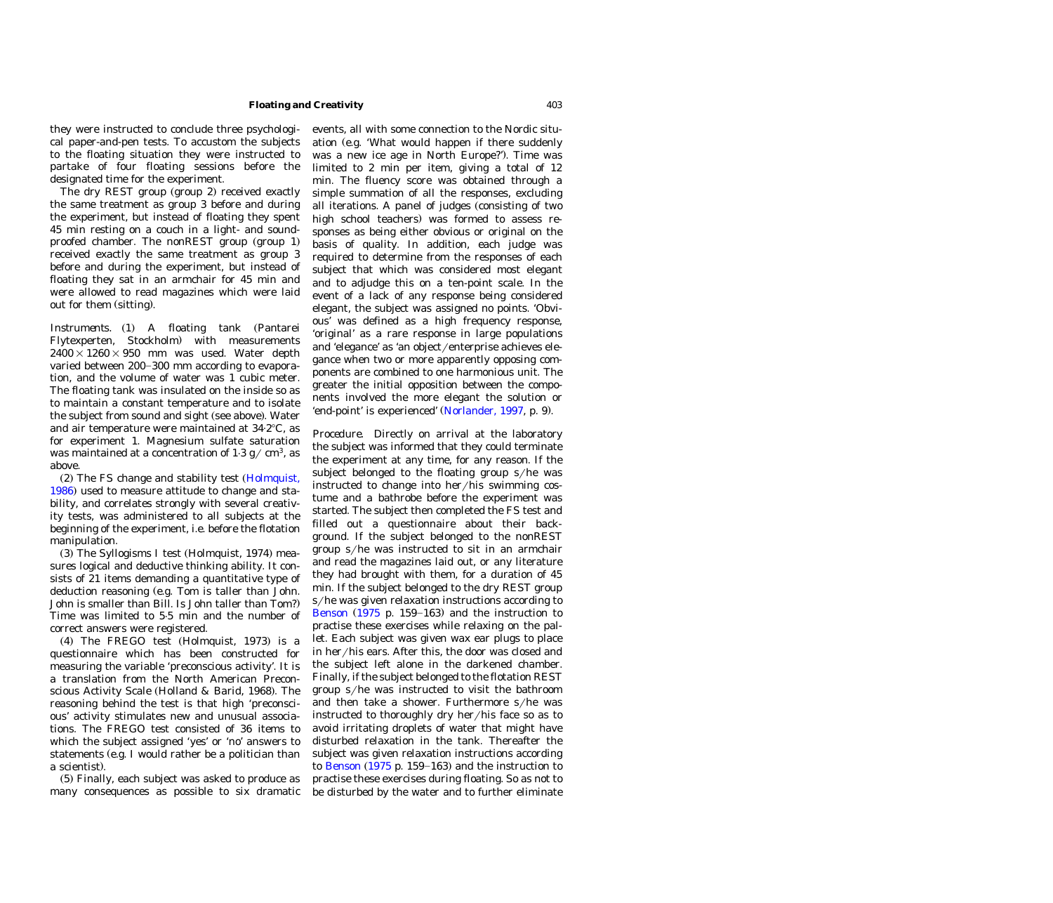they were instructed to conclude three psychological paper-and-pen tests. To accustom the subjects to the floating situation they were instructed to partake of four floating sessions before the designated time for the experiment.

The dry REST group (group 2) received exactly the same treatment as group 3 before and during the experiment, but instead of floating they spent 45 min resting on a couch in a light- and soundproofed chamber. The nonREST group  $(group 1)$ received exactly the same treatment as group 3 before and during the experiment, but instead of floating they sat in an armchair for 45 min and were allowed to read magazines which were laid out for them (sitting).

*Instruments.* (1) A floating tank (Pantarei Flytexperten, Stockholm) with measurements  $2400\times1260\times950$  mm was used. Water depth varied between 200-300 mm according to evaporation, and the volume of water was 1 cubic meter. The floating tank was insulated on the inside so as to maintain a constant temperature and to isolate the subject from sound and sight (see above). Water and air temperature were maintained at  $34.2^{\circ}$ C, as for experiment 1. Magnesium sulfate saturation was maintained at a concentration of  $1.3 \text{ g/cm}^3$ , as above.

 $(2)$  The FS change and stability test ([Holmquist,](#page-8-0) [1986](#page-8-0)) used to measure attitude to change and stability, and correlates strongly with several creativity tests, was administered to all subjects at the beginning of the experiment, i.e. before the flotation manipulation.

 $(3)$  The Syllogisms I test (Holmquist, 1974) measures logical and deductive thinking ability. It consists of 21 items demanding a quantitative type of deduction reasoning (e.g. Tom is taller than John. John is smaller than Bill. Is John taller than Tom?. Time was limited to 5.5 min and the number of correct answers were registered.

 $(4)$  The FREGO test (Holmquist, 1973) is a questionnaire which has been constructed for measuring the variable 'preconscious activity'. It is a translation from the North American Preconscious Activity Scale (Holland & Barid, 1968). The reasoning behind the test is that high 'preconscious' activity stimulates new and unusual associations. The FREGO test consisted of 36 items to which the subject assigned 'yes' or 'no' answers to statements (e.g. I would rather be a politician than a scientist).

 $(5)$  Finally, each subject was asked to produce as many consequences as possible to six dramatic

events, all with some connection to the Nordic situation (e.g. 'What would happen if there suddenly was a new ice age in North Europe?'). Time was limited to 2 min per item, giving a total of 12 min. The fluency score was obtained through a simple summation of all the responses, excluding all iterations. A panel of judges (consisting of two high school teachers) was formed to assess responses as being either obvious or original on the basis of quality. In addition, each judge was required to determine from the responses of each subject that which was considered most elegant and to adjudge this on a ten-point scale. In the event of a lack of any response being considered elegant, the subject was assigned no points. 'Obvious' was defined as a high frequency response, 'original' as a rare response in large populations and 'elegance' as 'an object/enterprise achieves elegance when two or more apparently opposing components are combined to one harmonious unit. The greater the initial opposition between the components involved the more elegant the solution or 'end-point' is experienced' (Norlander, 1997, p. 9).

*Procedure.* Directly on arrival at the laboratory the subject was informed that they could terminate the experiment at any time, for any reason. If the subject belonged to the floating group  $s/he$  was instructed to change into her/his swimming costume and a bathrobe before the experiment was started. The subject then completed the FS test and filled out a questionnaire about their background. If the subject belonged to the nonREST group  $s/h$ e was instructed to sit in an armchair and read the magazines laid out, or any literature they had brought with them, for a duration of 45 min. If the subject belonged to the dry REST group  $s$ /he was given relaxation instructions according to [Benson](#page-8-0)  $(1975 \text{ p. } 159-163)$  and the instruction to practise these exercises while relaxing on the pallet. Each subject was given wax ear plugs to place in her/his ears. After this, the door was closed and the subject left alone in the darkened chamber. Finally, if the subject belonged to the flotation REST group  $s/h$ e was instructed to visit the bathroom and then take a shower. Furthermore  $s/he$  was instructed to thoroughly dry her/his face so as to avoid irritating droplets of water that might have disturbed relaxation in the tank. Thereafter the subject was given relaxation instructions according to [Benson](#page-8-0)  $(1975 \text{ p. } 159-163)$  and the instruction to practise these exercises during floating. So as not to be disturbed by the water and to further eliminate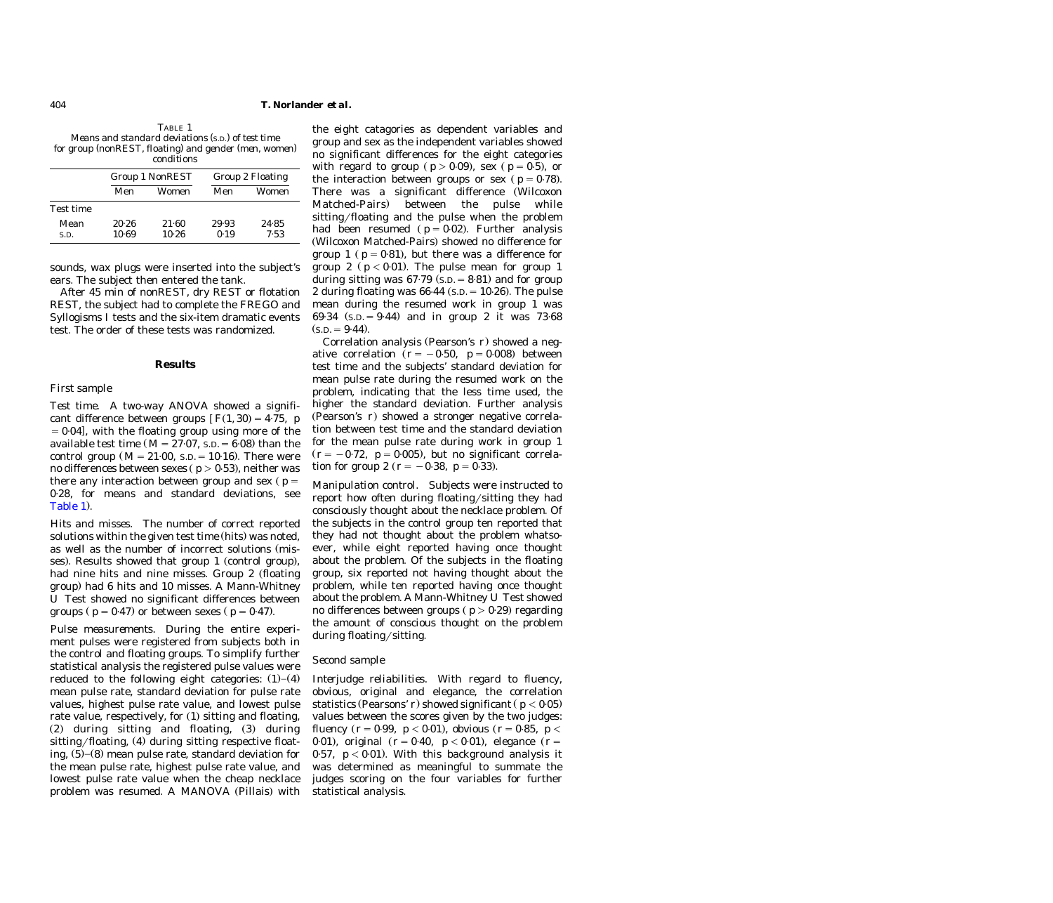TABLE 1 *Means and standard deviations (S.D.) of test time for group* (*nonREST*, *floating*) and *gender* (*men, women*) *conditions*

|           | Group 1 NonREST |         | Group 2 Floating |       |  |
|-----------|-----------------|---------|------------------|-------|--|
|           | Men             | Women   | Men              | Women |  |
| Test time |                 |         |                  |       |  |
| Mean      | 20.26           | $21-60$ | 29.93            | 24.85 |  |
| S.D.      | $10-69$         | 10.26   | 0.19             | 7.53  |  |

sounds, wax plugs were inserted into the subject's ears. The subject then entered the tank.

After 45 min of nonREST, dry REST or flotation REST, the subject had to complete the FREGO and Syllogisms I tests and the six-item dramatic events test. The order of these tests was randomized.

#### **Results**

#### *First sample*

*Test time.* A two-way ANOVA showed a significant difference between groups  $[F(1, 30) = 4.75, p = 0.04]$ , with the floating group using more of the available test time  $(M = 27.07, s.D. = 6.08)$  than the control group  $(M = 21.00, S.D. = 10.16)$ . There were no differences between sexes ( $p > 0.53$ ), neither was there any interaction between group and sex  $(p =$ 0. 28, for means and standard deviations, see Table 1).

*Hits and misses.* The number of correct reported solutions within the given test time (hits) was noted, as well as the number of incorrect solutions (misses). Results showed that group 1 (control group), had nine hits and nine misses. Group 2 (floating group) had 6 hits and 10 misses. A Mann-Whitney *U* Test showed no significant differences between groups  $(p = 0.47)$  or between sexes  $(p = 0.47)$ .

*Pulse measurements.* During the entire experiment pulses were registered from subjects both in the control and floating groups. To simplify further statistical analysis the registered pulse values were reduced to the following eight categories:  $(1)-(4)$ mean pulse rate, standard deviation for pulse rate values, highest pulse rate value, and lowest pulse rate value, respectively, for (1) sitting and floating,  $(2)$  during sitting and floating,  $(3)$  during sitting/floating,  $(4)$  during sitting respective floating,  $(5)-(8)$  mean pulse rate, standard deviation for the mean pulse rate, highest pulse rate value, and lowest pulse rate value when the cheap necklace problem was resumed. A MANOVA (Pillais) with

the eight catagories as dependent variables and group and sex as the independent variables showed no significant differences for the eight categories with regard to group ( $p > 0.09$ ), sex ( $p = 0.5$ ), or the interaction between groups or sex  $p = 0.78$ . There was a significant difference (Wilcoxon Matched-Pairs) between the pulse while sitting/floating and the pulse when the problem had been resumed  $(p = 0.02)$ . Further analysis (Wilcoxon Matched-Pairs) showed no difference for group 1 ( $p = 0.81$ ), but there was a difference for group 2  $(p < 0.01)$ . The pulse mean for group 1 during sitting was  $67.79$  (s.p.  $= 8.81$ ) and for group 2 during floating was  $66.44$  (s.p.  $= 10.26$ ). The pulse mean during the resumed work in group 1 was 69.34  $(S.D. = 9.44)$  and in group 2 it was 73.68  $(S.D. = 9.44).$ 

Correlation analysis (Pearson's *r*) showed a negative correlation  $(r = -0.50, p = 0.008)$  between test time and the subjects' standard deviation for mean pulse rate during the resumed work on the problem, indicating that the less time used, the higher the standard deviation. Further analysis (Pearson's *r*) showed a stronger negative correlation between test time and the standard deviation for the mean pulse rate during work in group 1  $(r = -0.72, p = 0.005)$ , but no significant correlation for group 2 ( $r = -0.38$ ,  $p = 0.33$ ).

*Manipulation control.* Subjects were instructed to report how often during floating/sitting they had consciously thought about the necklace problem. Of the subjects in the control group ten reported that they had not thought about the problem whatsoever, while eight reported having once thought about the problem. Of the subjects in the floating group, six reported not having thought about the problem, while ten reported having once thought about the problem. A Mann-Whitney *U* Test showed no differences between groups  $(p > 0.29)$  regarding the amount of conscious thought on the problem during floating/sitting.

# *Second sample*

*Interjudge reliabilities.* With regard to fluency, obvious, original and elegance, the correlation statistics (Pearsons' *r*) showed significant ( $p < 0.05$ ) values between the scores given by the two judges: fluency  $(r = 0.99, p < 0.01)$ , obvious  $(r = 0.85, p <$ 0.01), original (*r* = 0.40, *p* < 0.01), elegance (*r* = 0.57,  $p < 0.01$ ). With this background analysis it was determined as meaningful to summate the judges scoring on the four variables for further statistical analysis.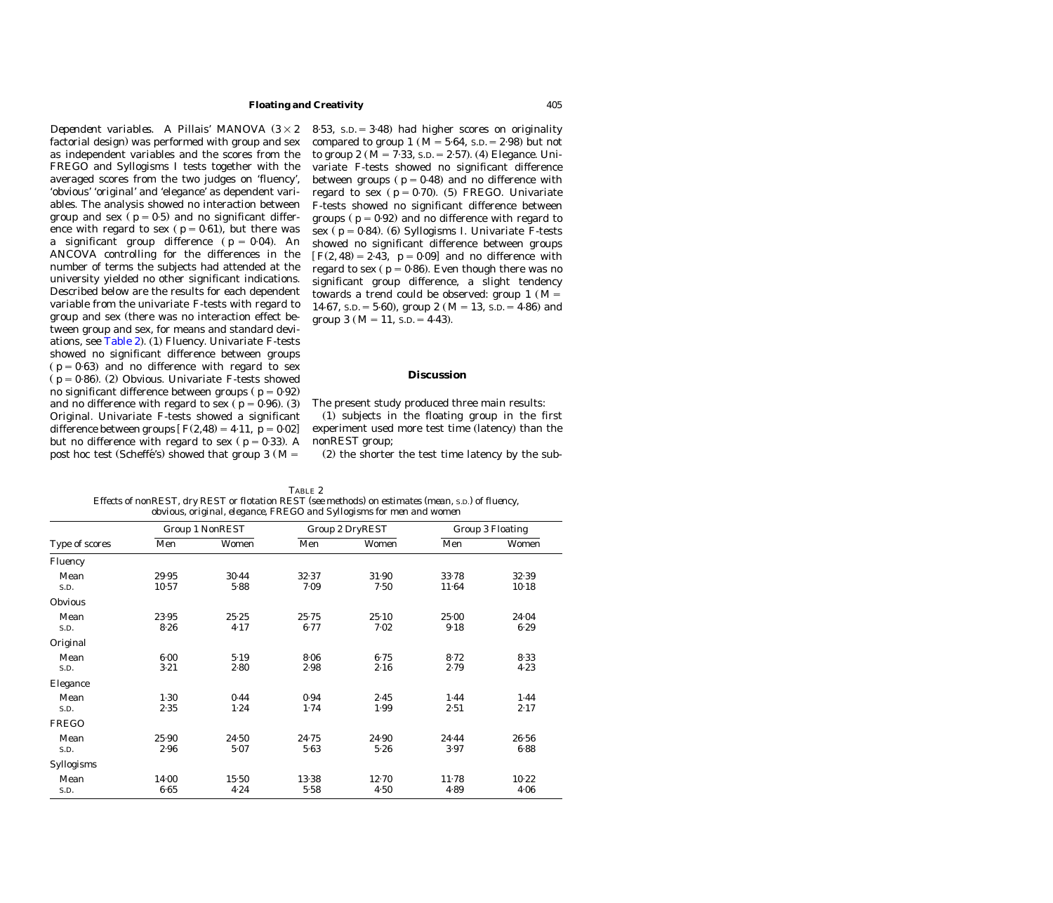*Dependent variables.* A Pillais' MANOVA  $(3 \times 2)$ factorial design) was performed with group and sex as independent variables and the scores from the FREGO and Syllogisms I tests together with the averaged scores from the two judges on 'fluency', 'obvious' 'original' and 'elegance' as dependent variables. The analysis showed no interaction between group and sex  $(p = 0.5)$  and no significant difference with regard to sex ( $p = 0.61$ ), but there was a significant group difference  $(p = 0.04)$ . An ANCOVA controlling for the differences in the number of terms the subjects had attended at the university yielded no other significant indications. Described below are the results for each dependent variable from the univariate *F*-tests with regard to group and sex (there was no interaction effect between group and sex, for means and standard deviations, see Table 2). (1) Fluency. Univariate *F*-tests showed no significant difference between groups  $(p = 0.63)$  and no difference with regard to sex  $\hat{p}$  = 0.86). (2) Obvious. Univariate *F*-tests showed no significant difference between groups  $p = 0.92$ and no difference with regard to sex  $(p = 0.96)$ . (3) Original. Univariate *F*-tests showed a significant difference between groups  $[F(2,48) = 4.11, p = 0.02]$ but no difference with regard to sex  $p = 0.33$ . A *post hoc* test (Scheffe's) showed that group 3  $(M =$ 

8.53,  $S.D. = 3.48$ ) had higher scores on originality compared to group 1  $(M = 5.64, S.D. = 2.98)$  but not to group 2 ( $M = 7.33$ , s.p.  $= 2.57$ ). (4) Elegance. Univariate *F*-tests showed no significant difference between groups ( $p = 0.48$ ) and no difference with regard to sex  $(p = 0.70)$ . (5) FREGO. Univariate *F*-tests showed no significant difference between groups  $(p = 0.92)$  and no difference with regard to sex (p = 0.84). (6) Syllogisms I. Univariate *F*-tests showed no significant difference between groups  $[F(2, 48) = 2.43, p = 0.09]$  and no difference with regard to sex ( $p = 0.86$ ). Even though there was no significant group difference, a slight tendency towards a trend could be observed: group  $1 \ (M=$ 14.67, s.p. = 5.60), group 2 ( $M = 13$ , s.p. = 4.86) and group 3  $(M = 11, S.D. = 4.43)$ .

#### **Discussion**

The present study produced three main results:

 $(1)$  subjects in the floating group in the first experiment used more test time (latency) than the nonREST group;

 $(2)$  the shorter the test time latency by the sub-

| Type of scores | <b>Group 1 NonREST</b> |               | <b>Group 2 DryREST</b> | <b>Group 3 Floating</b> |               |               |
|----------------|------------------------|---------------|------------------------|-------------------------|---------------|---------------|
|                | Men                    | Women         | Men                    | Women                   | Men           | Women         |
| <b>Fluency</b> |                        |               |                        |                         |               |               |
| Mean           | 29.95                  | 30.44         | 32.37                  | 31.90                   | 33.78         | 32.39         |
| S.D.           | 10.57                  | 5.88          | 7.09                   | 7.50                    | 11.64         | 10.18         |
| <b>Obvious</b> |                        |               |                        |                         |               |               |
| Mean<br>S.D.   | 23.95<br>8.26          | 25.25<br>4.17 | 25.75<br>6.77          | 25.10<br>7.02           | 25.00<br>9.18 | 24.04<br>6.29 |
| Original       |                        |               |                        |                         |               |               |
| Mean<br>S.D.   | $6 - 00$<br>3.21       | 5.19<br>2.80  | 8.06<br>2.98           | 6.75<br>2.16            | 8.72<br>2.79  | 8.33<br>4.23  |
| Elegance       |                        |               |                        |                         |               |               |
| Mean<br>S.D.   | 1.30<br>2.35           | 0.44<br>1.24  | 0.94<br>1.74           | 2.45<br>1.99            | 1.44<br>2.51  | 1.44<br>2.17  |
| <b>FREGO</b>   |                        |               |                        |                         |               |               |
| Mean<br>S.D.   | 25.90<br>2.96          | 24.50<br>5.07 | 24.75<br>5.63          | 24.90<br>5.26           | 24.44<br>3.97 | 26.56<br>6.88 |
| Syllogisms     |                        |               |                        |                         |               |               |
| Mean<br>S.D.   | 14.00<br>6.65          | 15.50<br>4.24 | 13.38<br>5.58          | 12.70<br>4.50           | 11.78<br>4.89 | 10.22<br>4.06 |

TABLE 2 *Effects of nonREST, dry REST or flotation REST (see methods) on estimates (mean, S.D.) of fluency,*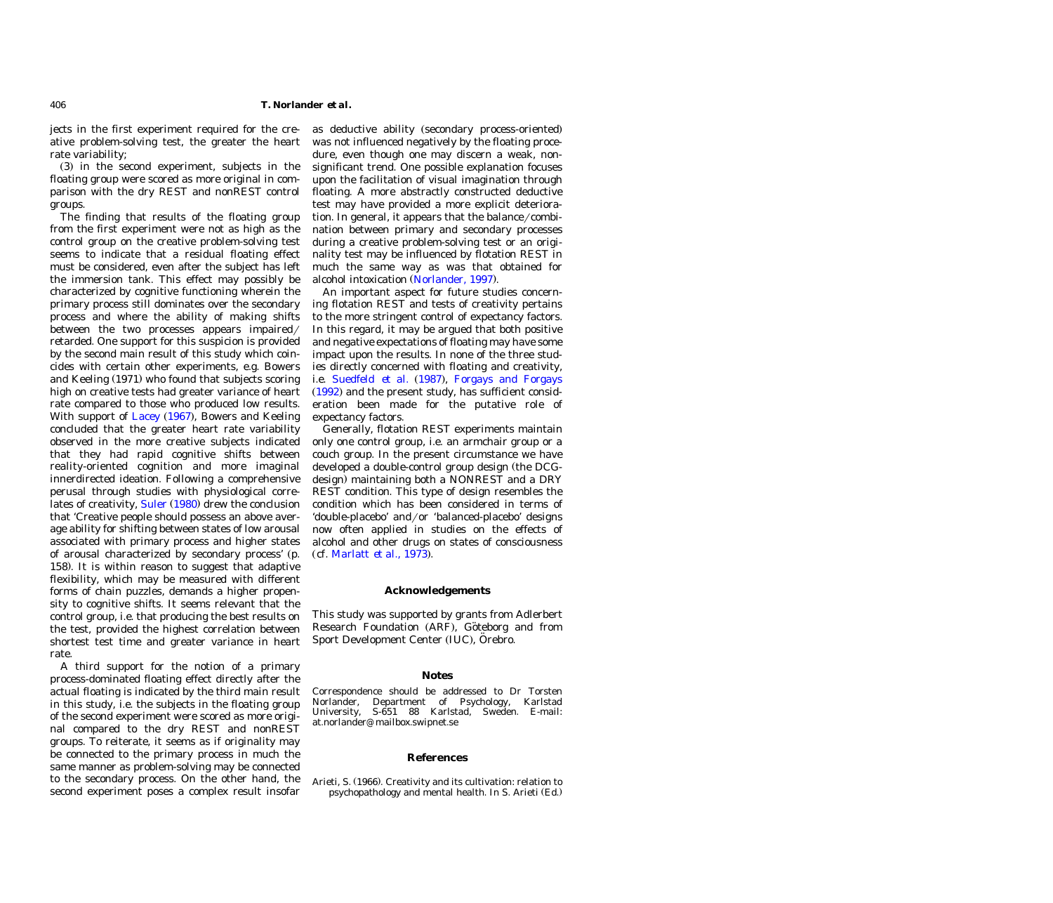jects in the first experiment required for the creative problem-solving test, the greater the heart rate variability;

 $(3)$  in the second experiment, subjects in the floating group were scored as more original in comparison with the dry REST and nonREST control groups.

The finding that results of the floating group from the first experiment were not as high as the control group on the creative problem-solving test seems to indicate that a residual floating effect must be considered, even after the subject has left the immersion tank. This effect may possibly be characterized by cognitive functioning wherein the primary process still dominates over the secondary process and where the ability of making shifts between the two processes appears impaired/ retarded. One support for this suspicion is provided by the second main result of this study which coincides with certain other experiments, e.g. Bowers and Keeling (1971) who found that subjects scoring high on creative tests had greater variance of heart rate compared to those who produced low results. With support of  $L_{\text{accept}}$  (1967), Bowers and Keeling concluded that the greater heart rate variability observed in the more creative subjects indicated that they had rapid cognitive shifts between reality-oriented cognition and more imaginal innerdirected ideation. Following a comprehensive perusal through studies with physiological correlates of creativity,  $\text{Suler} (1980)$  drew the conclusion that 'Creative people should possess an above average ability for shifting between states of low arousal associated with primary process and higher states of arousal characterized by secondary process' (p. 158). It is within reason to suggest that adaptive flexibility, which may be measured with different forms of chain puzzles, demands a higher propensity to cognitive shifts. It seems relevant that the control group, i.e. that producing the best results on the test, provided the highest correlation between shortest test time and greater variance in heart rate.

A third support for the notion of a primary process-dominated floating effect directly after the actual floating is indicated by the third main result in this study, i.e. the subjects in the floating group of the second experiment were scored as more original compared to the dry REST and nonREST groups. To reiterate, it seems as if originality may be connected to the primary process in much the same manner as problem-solving may be connected to the secondary process. On the other hand, the second experiment poses a complex result insofar as deductive ability (secondary process-oriented) was not influenced negatively by the floating procedure, even though one may discern a weak, nonsignificant trend. One possible explanation focuses upon the facilitation of visual imagination through floating. A more abstractly constructed deductive test may have provided a more explicit deterioration. In general, it appears that the balance/combination between primary and secondary processes during a creative problem-solving test or an originality test may be influenced by flotation REST in much the same way as was that obtained for alcohol intoxication (Norlander, 1997).

An important aspect for future studies concerning flotation REST and tests of creativity pertains to the more stringent control of expectancy factors. In this regard, it may be argued that both positive and negative expectations of floating may have some impact upon the results. In none of the three studies directly concerned with floating and creativity, i.e. [Suedfeld](#page-9-0) *et al.* (1987), [Forgays](#page-8-0) and Forgays  $(1992)$  and the present study, has sufficient consideration been made for the putative role of expectancy factors.

Generally, flotation REST experiments maintain only one control group, i.e. an armchair group or a couch group. In the present circumstance we have developed a double-control group design (the DCGdesign) maintaining both a NONREST and a DRY REST condition. This type of design resembles the condition which has been considered in terms of 'double-placebo' and/or 'balanced-placebo' designs now often applied in studies on the effects of alcohol and other drugs on states of consciousness Ž [.](#page-8-0) *cf*. Marlatt *et al*., 1973 .

#### **Acknowledgements**

This study was supported by grants from Adlerbert Research Foundation (ARF), Göteborg and from Sport Development Center (IUC), Orebro.

#### **Notes**

Correspondence should be addressed to Dr Torsten Norlander, Department of Psychology, Karlstad University, S-651 88 Karlstad, Sweden. E-mail: at.norlander@mailbox.swipnet.se

#### **References**

Arieti, S. (1966). Creativity and its cultivation: relation to psychopathology and mental health. In S. Arieti (Ed.)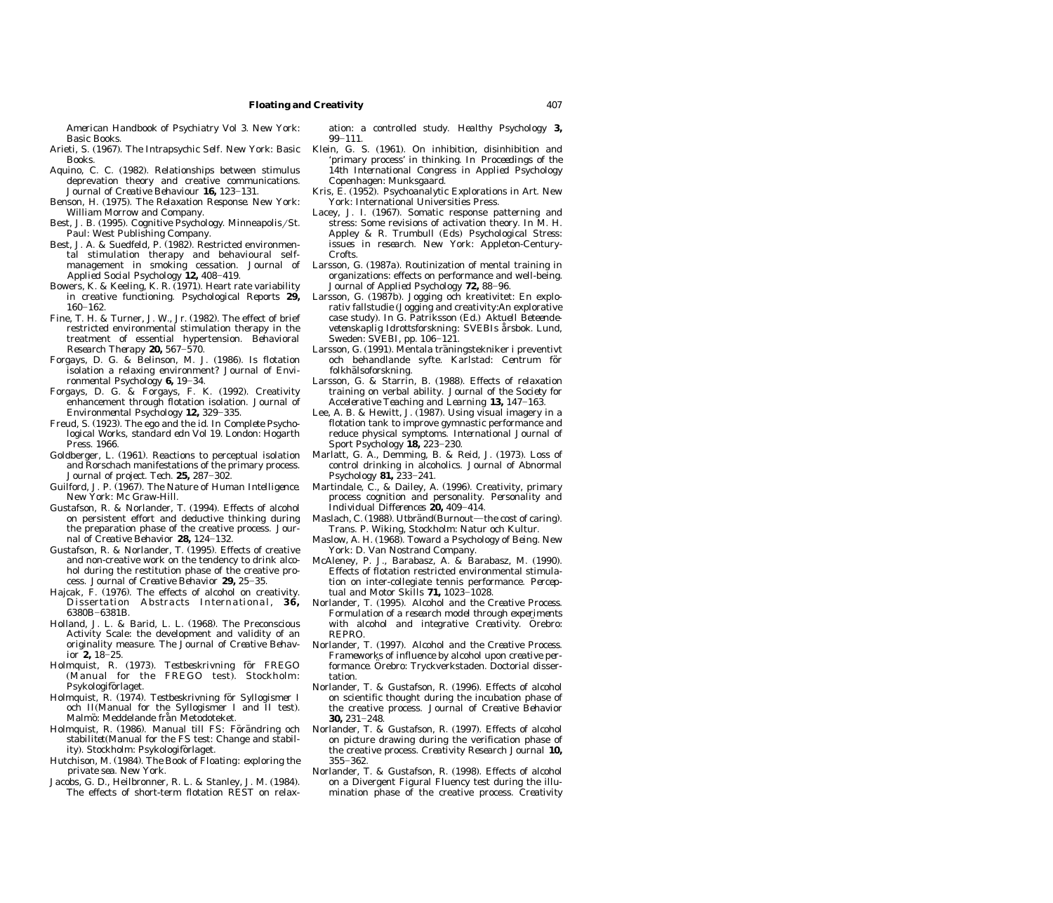<span id="page-8-0"></span>*American Handbook of Psychiatry* Vol 3. New York: Basic Books.

- Arieti, S. (1967). *The Intrapsychic Self*. New York: Basic Books.
- Aquino, C. C. (1982). Relationships between stimulus deprevation theory and creative communications. *Journal of Creative Behaviour* 16, 123-131.
- Benson, H. (1975). *The Relaxation Response*. New York: William Morrow and Company.
- Best, J. B. (1995). *Cognitive Psychology*. Minneapolis/St. Paul: West Publishing Company.
- Best, J. A. & Suedfeld, P. (1982). Restricted environmental stimulation therapy and behavioural selfmanagement in smoking cessation. *Journal of Applied Social Psychology* **12,** 408-419.
- Bowers, K. & Keeling, K. R. (1971). Heart rate variability in creative functioning. *Psychological Reports* **29,**  $160 - 162.$
- Fine, T. H. & Turner, J. W., Jr. (1982). The effect of brief restricted environmental stimulation therapy in the treatment of essential hypertension. *Behavioral Research Therapy* **20,** 567–570.
- Forgays, D. G. & Belinson, M. J.  $(1986)$ . Is flotation isolation a relaxing environment? *Journal of Environmental Psychology* 6, 19-34.
- Forgays, D. G. & Forgays, F. K.  $(1992)$ . Creativity enhancement through flotation isolation. *Journal of Environmental Psychology* **12,** 329–335.
- Freud, S. (1923). The ego and the id. In *Complete Psychological Works*, *standard edn* Vol 19. London: Hogarth Press. 1966.
- Goldberger, L. (1961). Reactions to perceptual isolation and Rorschach manifestations of the primary process. *Journal of project. Tech.* **25,** 287–302.
- Guilford, J. P. (1967). The Nature of Human Intelligence. New York: Mc Graw-Hill.
- Gustafson, R. & Norlander, T. (1994). Effects of alcohol on persistent effort and deductive thinking during the preparation phase of the creative process. *Journal of Creative Behavior* 28, 124-132.
- Gustafson, R. & Norlander, T. (1995). Effects of creative and non-creative work on the tendency to drink alcohol during the restitution phase of the creative process. *Journal of Creative Behavior* 29, 25-35.
- Hajcak, F. (1976). The effects of alcohol on creativity. *Dissertation Abstracts International*, **36,** 6380B-6381B.
- Holland, J. L. & Barid, L. L. (1968). The Preconscious Activity Scale: the development and validity of an originality measure. *The Journal of Creative Behavior* **2**, 18–25.
- Holmquist, R. (1973). *Testbeskrivning for FREGO* (Manual for the FREGO test). Stockholm: Psykologiförlaget.
- Holmquist, R. (1974). *Testbeskrivning for Syllogismer I och II*(Manual for the Syllogismer I and II test). Malmö: Meddelande från Metodoteket.<br>Holmquist, R. (1986). Manual till FS: Förändring och
- $stability(\text{Manual for the FS test: Change and stabilizer})$ ity). Stockholm: Psykologiförlaget.
- Hutchison, M. (1984). *The Book of Floating*: *exploring the private sea*. New York.
- Jacobs, G. D., Heilbronner, R. L. & Stanley, J. M. (1984). The effects of short-term flotation REST on relax-

ation: a controlled study. *Healthy Psychology* **3,**  $99 - 111.$ 

- Klein, G. S. (1961). On inhibition, disinhibition and 'primary process' in thinking. In *Proceedings of the 14th International Congress in Applied Psychology* Copenhagen: Munksgaard.
- Kris, E. (1952). Psychoanalytic Explorations in Art. New York: International Universities Press.
- Lacey, J. I. (1967). Somatic response patterning and stress: Some revisions of activation theory. In M. H. Appley & R. Trumbull (Eds) Psychological Stress: *issues in research*. New York: Appleton-Century-Crofts.
- Larsson, G. (1987*a*). Routinization of mental training in organizations: effects on performance and well-being. *Journal of Applied Psychology* 72, 88-96.
- Larsson, G. (1987*b*). Jogging och kreativitet: En explorativ fallstudie Jogging and creativity:An explorative Ž case study). In G. Patriksson (Ed.) Aktuell Beteende*vetenskaplig Idrottsforskning*: *SVEBIs arsbok* ˚ . Lund, Sweden: SVEBI, pp. 106-121.
- Larsson, G. (1991). Mentala träningstekniker i preventivt och behandlande syfte. Karlstad: *Centrum för*<br> *folkhälsoforskning* .
- Larsson, G. & Starrin, B. (1988). Effects of relaxation training on verbal ability. *Journal of the Society for* Accelerative Teaching and Learning 13, 147-163.
- Lee, A. B. & Hewitt, J. (1987). Using visual imagery in a flotation tank to improve gymnastic performance and reduce physical symptoms. *International Journal of Sport Psychology* **18,** 223-230.
- Marlatt, G. A., Demming, B. & Reid, J. (1973). Loss of control drinking in alcoholics. *Journal of Abnormal Psychology* 81, 233-241.
- Martindale, C., & Dailey, A. (1996). Creativity, primary process cognition and personality. *Personality and Individual Differences* **20,** 409-414.
- Maslach, C. (1988). *Utbränd* Burnout—the cost of caring . Trans. P. Wiking, Stockholm: Natur och Kultur.
- Maslow, A. H. (1968). *Toward a Psychology of Being*. New York: D. Van Nostrand Company.
- McAleney, P. J., Barabasz, A. & Barabasz, M. (1990). Effects of flotation restricted environmental stimulation on inter-collegiate tennis performance. *Perceptual and Motor Skills* **71**, 1023-1028.
- Norlander, T. (1995). Alcohol and the Creative Process. *Formulation of a research model through experiments with alcohol and integrative Creativity*. Orebro: REPRO.
- Norlander, T. (1997). *Alcohol and the Creative Process. Frameworks of influence by alcohol upon creative performance*. Orebro: Tryckverkstaden. Doctorial dissertation.
- Norlander, T. & Gustafson, R. (1996). Effects of alcohol on scientific thought during the incubation phase of the creative process. *Journal of Creative Behavior* **30,** 231-248.
- Norlander, T. & Gustafson, R. (1997). Effects of alcohol on picture drawing during the verification phase of the creative process. *Creativity Research Journal* **10,**  $355 - 362.$
- Norlander, T. & Gustafson, R. (1998). Effects of alcohol on a Divergent Figural Fluency test during the illumination phase of the creative process. *Creativity*